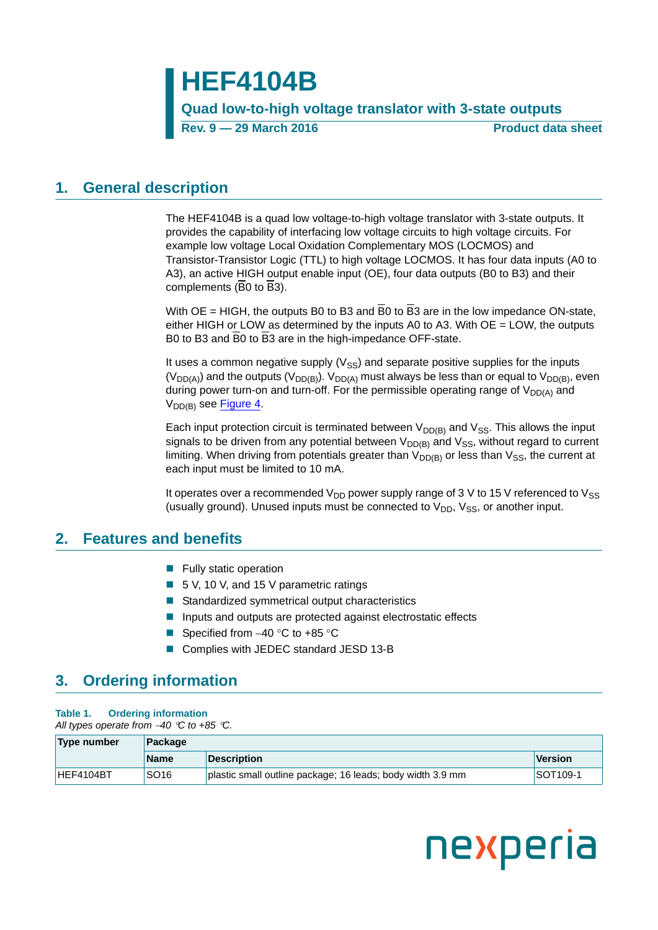**HEF4104B**

**Quad low-to-high voltage translator with 3-state outputs**

**Rev. 9 — 29 March 2016 Product data sheet**

### <span id="page-0-0"></span>**1. General description**

The HEF4104B is a quad low voltage-to-high voltage translator with 3-state outputs. It provides the capability of interfacing low voltage circuits to high voltage circuits. For example low voltage Local Oxidation Complementary MOS (LOCMOS) and Transistor-Transistor Logic (TTL) to high voltage LOCMOS. It has four data inputs (A0 to A3), an active HIGH output enable input (OE), four data outputs (B0 to B3) and their complements (B0 to B3).

With  $OE = HIGH$ , the outputs B0 to B3 and  $\overline{B}0$  to  $\overline{B}3$  are in the low impedance ON-state, either HIGH or LOW as determined by the inputs A0 to A3. With  $OE = LOW$ , the outputs B0 to B3 and B0 to B3 are in the high-impedance OFF-state.

It uses a common negative supply  $(V_{SS})$  and separate positive supplies for the inputs (V<sub>DD(A)</sub>) and the outputs (V<sub>DD(B)</sub>). V<sub>DD(A)</sub> must always be less than or equal to V<sub>DD(B)</sub>, even during power turn-on and turn-off. For the permissible operating range of  $V_{DD(A)}$  and V<sub>DD(B)</sub> see [Figure 4.](#page-5-0)

Each input protection circuit is terminated between  $V_{DD(B)}$  and  $V_{SS}$ . This allows the input signals to be driven from any potential between  $V_{DD(B)}$  and  $V_{SS}$ , without regard to current limiting. When driving from potentials greater than  $V_{DD(B)}$  or less than  $V_{SS}$ , the current at each input must be limited to 10 mA.

It operates over a recommended  $V_{DD}$  power supply range of 3 V to 15 V referenced to  $V_{SS}$ (usually ground). Unused inputs must be connected to  $V_{DD}$ ,  $V_{SS}$ , or another input.

### <span id="page-0-1"></span>**2. Features and benefits**

- $\blacksquare$  Fully static operation
- 5 V, 10 V, and 15 V parametric ratings
- Standardized symmetrical output characteristics
- **Inputs and outputs are protected against electrostatic effects**
- Specified from  $-40$  °C to +85 °C
- Complies with JEDEC standard JESD 13-B

# <span id="page-0-2"></span>**3. Ordering information**

### **Table 1. Ordering information**

*All types operate from 40 C to +85 C.*

| Type number<br>Package |                  |                                                            |          |  |  |
|------------------------|------------------|------------------------------------------------------------|----------|--|--|
|                        | Name             | <b>Description</b>                                         | Version  |  |  |
| HEF4104BT              | SO <sub>16</sub> | plastic small outline package; 16 leads; body width 3.9 mm | SOT109-1 |  |  |

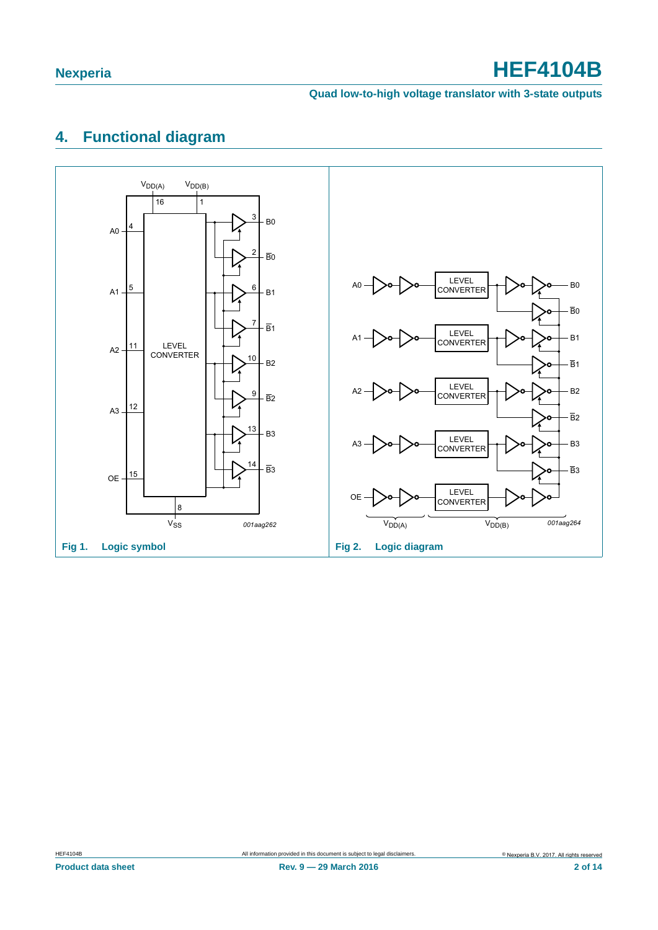### **Quad low-to-high voltage translator with 3-state outputs**

# <span id="page-1-0"></span>**4. Functional diagram**

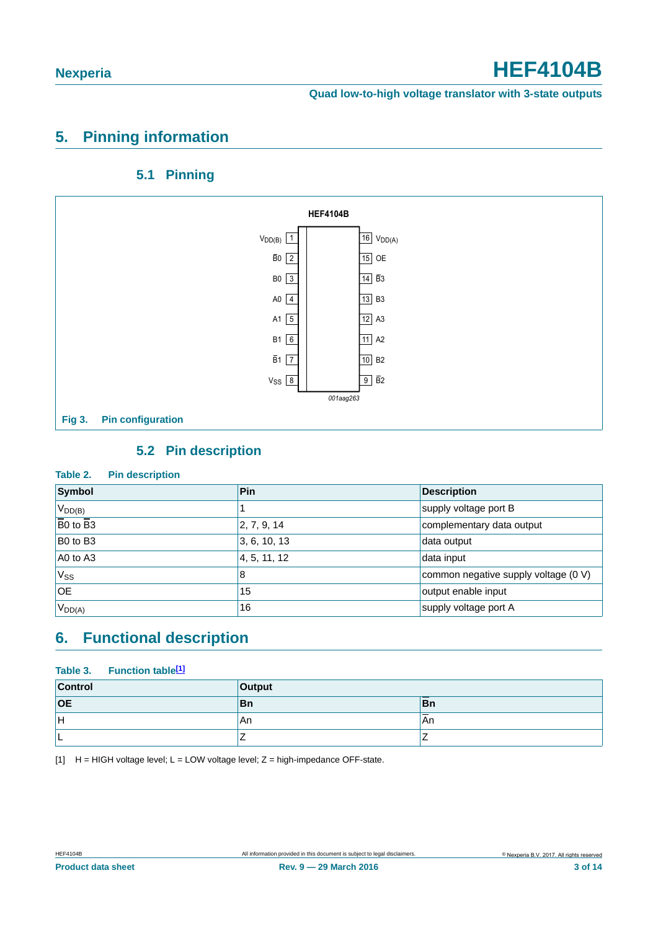# <span id="page-2-1"></span>**5. Pinning information**

### **5.1 Pinning**

<span id="page-2-2"></span>

### **5.2 Pin description**

### <span id="page-2-3"></span>**Table 2. Pin description**

| <b>Symbol</b>                      | Pin          | <b>Description</b>                   |  |
|------------------------------------|--------------|--------------------------------------|--|
| $V_{DD(B)}$                        |              | supply voltage port B                |  |
| $\overline{B}0$ to $\overline{B}3$ | 2, 7, 9, 14  | complementary data output            |  |
| B0 to B3                           | 3, 6, 10, 13 | data output                          |  |
| A0 to A3                           | 4, 5, 11, 12 | data input                           |  |
| $V_{SS}$                           | 8            | common negative supply voltage (0 V) |  |
| OE.                                | 15           | output enable input                  |  |
| $V_{DD(A)}$                        | 16           | supply voltage port A                |  |

# <span id="page-2-4"></span>**6. Functional description**

### Table 3. Function table<sup>[1]</sup>

| <b>Control</b> | Output |               |  |  |
|----------------|--------|---------------|--|--|
| <b>OE</b>      | ∣Bn    | ∣Bn           |  |  |
| lн             | An     | $\sim$<br>'An |  |  |
| --             | -      | -             |  |  |

<span id="page-2-0"></span>[1]  $H = HIGH$  voltage level;  $L = LOW$  voltage level;  $Z = high$ -impedance OFF-state.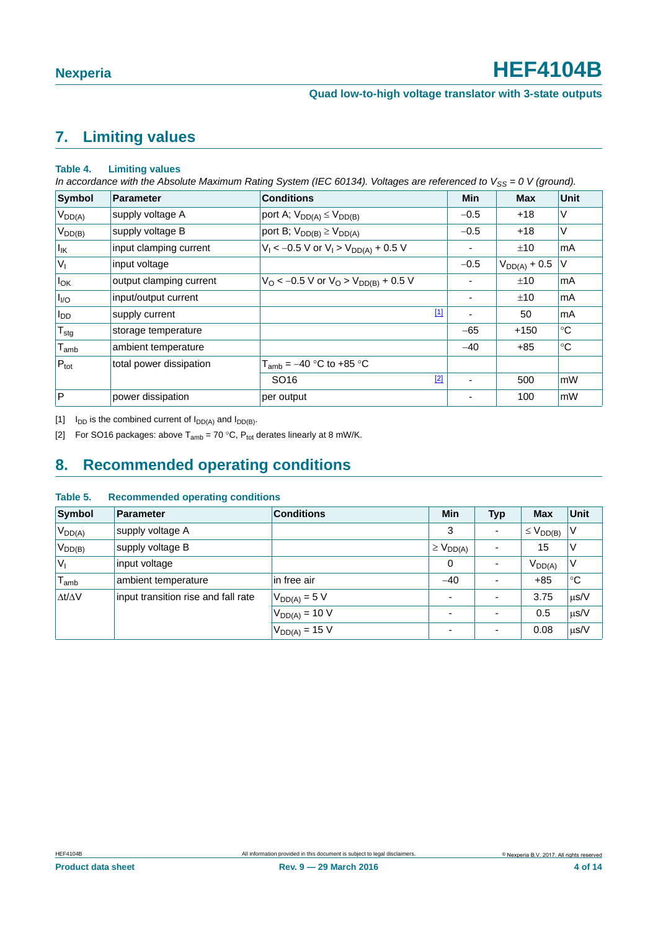# <span id="page-3-2"></span>**7. Limiting values**

#### **Table 4. Limiting values**

*In accordance with the Absolute Maximum Rating System (IEC 60134). Voltages are referenced to V<sub>SS</sub> = 0 V (ground).* 

| Symbol             | Parameter               | <b>Conditions</b>                             | <b>Min</b> | <b>Max</b>        | Unit          |
|--------------------|-------------------------|-----------------------------------------------|------------|-------------------|---------------|
| $V_{DD(A)}$        | supply voltage A        | port A; $V_{DD(A)} \leq V_{DD(B)}$            | $-0.5$     | $+18$             | V             |
| $V_{DD(B)}$        | supply voltage B        | port B; $V_{DD(B)} \geq V_{DD(A)}$            | $-0.5$     | $+18$             | V             |
| $I_{IK}$           | input clamping current  | $V_1$ < -0.5 V or $V_1$ > $V_{DD(A)}$ + 0.5 V |            | ±10               | mA            |
| $ V_1 $            | input voltage           |                                               | $-0.5$     | $V_{DD(A)} + 0.5$ | V             |
| $I_{OK}$           | output clamping current | $V_O$ < -0.5 V or $V_O$ > $V_{DD(B)}$ + 0.5 V |            | ±10               | mA            |
| $I_{VO}$           | input/output current    |                                               |            | ±10               | mA            |
| $I_{DD}$           | supply current          | $[1]$                                         |            | 50                | mA            |
| $T_{\text{stg}}$   | storage temperature     |                                               | $-65$      | $+150$            | $^{\circ}C$   |
| $T_{\mathsf{amb}}$ | ambient temperature     |                                               | $-40$      | $+85$             | $^{\circ}C$   |
| $P_{\text{tot}}$   | total power dissipation | $T_{amb}$ = $-40$ °C to +85 °C                |            |                   |               |
|                    |                         | $[2]$<br>SO <sub>16</sub>                     |            | 500               | mW            |
| $\overline{P}$     | power dissipation       | per output                                    |            | 100               | $\mathsf{mW}$ |

<span id="page-3-0"></span>[1]  $I_{DD}$  is the combined current of  $I_{DD(A)}$  and  $I_{DD(B)}$ .

<span id="page-3-1"></span>[2] For SO16 packages: above  $T_{amb} = 70 °C$ ,  $P_{tot}$  derates linearly at 8 mW/K.

# <span id="page-3-3"></span>**8. Recommended operating conditions**

#### **Table 5. Recommended operating conditions**

| <b>Symbol</b>       | <b>Parameter</b>                    | <b>Conditions</b>  | Min                | <b>Typ</b>               | <b>Max</b>         | <b>Unit</b> |
|---------------------|-------------------------------------|--------------------|--------------------|--------------------------|--------------------|-------------|
| $V_{DD(A)}$         | supply voltage A                    |                    | 3                  |                          | $\leq$ $V_{DD(B)}$ | V           |
| $V_{DD(B)}$         | supply voltage B                    |                    | $\geq$ $V_{DD(A)}$ |                          | 15                 | V           |
| $V_{\parallel}$     | input voltage                       |                    | 0                  |                          | $V_{DD(A)}$        | ν           |
| $I_{amb}$           | ambient temperature                 | in free air        | $-40$              |                          | $+85$              | $^{\circ}C$ |
| $\Delta t/\Delta V$ | input transition rise and fall rate | $V_{DD(A)} = 5 V$  |                    |                          | 3.75               | $\mu$ s/V   |
|                     |                                     | $V_{DD(A)} = 10 V$ |                    |                          | 0.5                | $\mu$ s/V   |
|                     |                                     | $V_{DD(A)} = 15 V$ |                    | $\overline{\phantom{0}}$ | 0.08               | $\mu$ s/V   |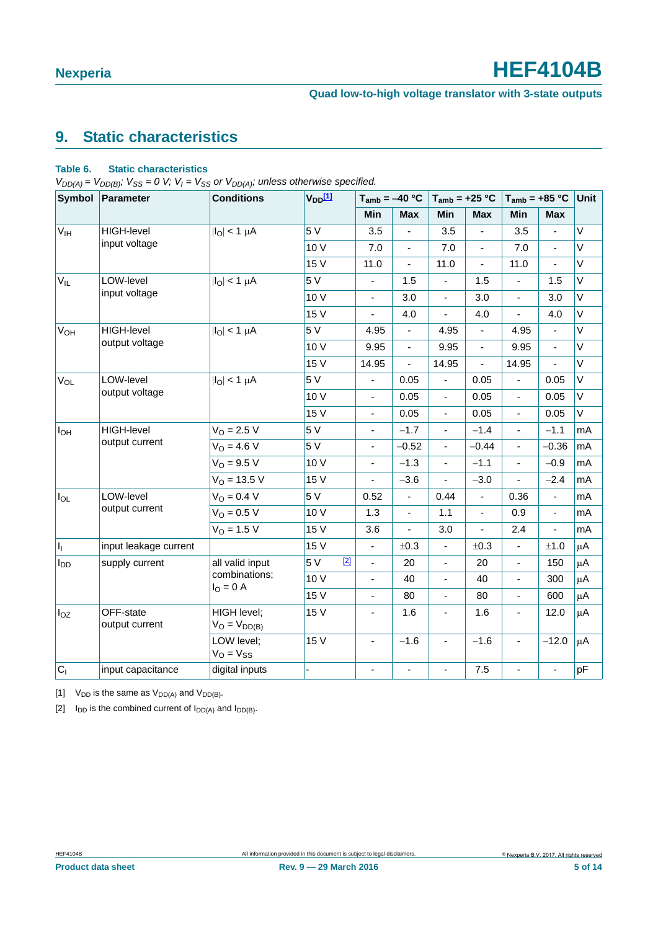# <span id="page-4-3"></span>**9. Static characteristics**

### <span id="page-4-2"></span>**Table 6. Static characteristics**

 $V_{DD(A)} = V_{DD(B)}$ ;  $V_{SS} = 0$  *V*;  $V_I = V_{SS}$  or  $V_{DD(A)}$ ; unless otherwise specified.

| Symbol                | Parameter                   | <b>Conditions</b>                | $V_{DD}$ [1]   |                | $T_{amb} = -40 °C$           |                | $T_{amb} = +25 °C$ | $T_{amb} = +85 °C$       |                          | Unit        |
|-----------------------|-----------------------------|----------------------------------|----------------|----------------|------------------------------|----------------|--------------------|--------------------------|--------------------------|-------------|
|                       |                             |                                  |                | Min            | <b>Max</b>                   | Min            | Max                | Min                      | <b>Max</b>               |             |
| $V_{IH}$              | <b>HIGH-level</b>           | $ I_O  < 1 \mu A$                | 5 V            | 3.5            | $\overline{a}$               | 3.5            | $\frac{1}{2}$      | 3.5                      | $\overline{\phantom{0}}$ | V           |
|                       | input voltage               |                                  | 10 V           | 7.0            | ä,                           | 7.0            | $\frac{1}{2}$      | 7.0                      | L.                       | $\vee$      |
|                       |                             |                                  | 15 V           | 11.0           | $\blacksquare$               | 11.0           | $\blacksquare$     | 11.0                     | $\blacksquare$           | V           |
| $V_{IL}$              | LOW-level                   | $ I_O  < 1 \mu A$                | 5 V            |                | 1.5                          |                | 1.5                | ä,                       | 1.5                      | $\mathsf V$ |
|                       | input voltage               |                                  | 10 V           | $\blacksquare$ | 3.0                          | $\blacksquare$ | 3.0                | ÷,                       | 3.0                      | V           |
|                       |                             |                                  | 15 V           |                | 4.0                          |                | 4.0                |                          | 4.0                      | $\vee$      |
| <b>V<sub>OH</sub></b> | <b>HIGH-level</b>           | $ I_{\text{O}} $ < 1 $\mu$ A     | 5V             | 4.95           | $\overline{\phantom{0}}$     | 4.95           | $\frac{1}{2}$      | 4.95                     | $\blacksquare$           | V           |
|                       | output voltage              |                                  | 10 V           | 9.95           | $\blacksquare$               | 9.95           | $\blacksquare$     | 9.95                     | $\blacksquare$           | $\vee$      |
|                       |                             |                                  | 15 V           | 14.95          | ÷,                           | 14.95          | ä,                 | 14.95                    | ä,                       | $\vee$      |
| $V_{OL}$              | LOW-level                   | $ I_O  < 1 \mu A$                | 5 V            | ÷,             | 0.05                         | $\blacksquare$ | 0.05               | $\blacksquare$           | 0.05                     | $\mathsf V$ |
|                       | output voltage              |                                  | 10 V           | $\blacksquare$ | 0.05                         | ä,             | 0.05               | $\blacksquare$           | 0.05                     | V           |
|                       |                             |                                  | 15 V           | $\blacksquare$ | 0.05                         | ÷,             | 0.05               | ÷,                       | 0.05                     | $\vee$      |
| $I_{OH}$              | <b>HIGH-level</b>           | $V_{O} = 2.5 V$                  | 5 V            | $\blacksquare$ | $-1.7$                       | $\blacksquare$ | $-1.4$             | $\blacksquare$           | $-1.1$                   | mA          |
|                       | output current              | $V_{O} = 4.6 V$                  | 5 V            | $\blacksquare$ | $-0.52$                      | $\blacksquare$ | $-0.44$            | ÷,                       | $-0.36$                  | mA          |
|                       |                             | $V_{O} = 9.5 V$                  | 10 V           | $\blacksquare$ | $-1.3$                       | $\blacksquare$ | $-1.1$             | $\blacksquare$           | $-0.9$                   | mA          |
|                       |                             | $VO = 13.5 V$                    | 15 V           | ÷,             | $-3.6$                       | $\frac{1}{2}$  | $-3.0$             | L.                       | $-2.4$                   | mA          |
| $I_{OL}$              | LOW-level                   | $V_O = 0.4 V$                    | 5 V            | 0.52           | $\blacksquare$               | 0.44           | ÷,                 | 0.36                     | ÷,                       | mA          |
|                       | output current              | $V_{O} = 0.5 V$                  | 10 V           | 1.3            | $\blacksquare$               | 1.1            | $\blacksquare$     | 0.9                      | $\blacksquare$           | mA          |
|                       |                             | $V_O = 1.5 V$                    | 15 V           | 3.6            | $\overline{a}$               | 3.0            | ÷,                 | 2.4                      | $\overline{\phantom{0}}$ | mA          |
| H.                    | input leakage current       |                                  | 15 V           | $\blacksquare$ | ±0.3                         | $\blacksquare$ | ±0.3               | $\blacksquare$           | ±1.0                     | $\mu$ A     |
| $I_{DD}$              | supply current              | all valid input                  | $[2]$<br>5V    | L.             | 20                           | ä,             | 20                 | L.                       | 150                      | $\mu$ A     |
|                       |                             | combinations;<br>$IO = 0$ A      | 10 V           | $\blacksquare$ | 40                           | $\frac{1}{2}$  | 40                 | ÷,                       | 300                      | μA          |
|                       |                             |                                  | 15 V           | $\blacksquare$ | 80                           | $\blacksquare$ | 80                 | L.                       | 600                      | $\mu$ A     |
| $I_{OZ}$              | OFF-state<br>output current | HIGH level;<br>$V_O = V_{DD(B)}$ | 15 V           | $\blacksquare$ | 1.6                          | $\blacksquare$ | 1.6                | $\overline{\phantom{a}}$ | 12.0                     | $\mu$ A     |
|                       |                             | LOW level;<br>$V_O = V_{SS}$     | 15 V           | ä,             | $-1.6$                       | $\blacksquare$ | $-1.6$             | $\blacksquare$           | $-12.0$                  | $\mu$ A     |
| C <sub>1</sub>        | input capacitance           | digital inputs                   | $\overline{a}$ | $\blacksquare$ | $\qquad \qquad \blacksquare$ | $\blacksquare$ | 7.5                | ä,                       | $\frac{1}{2}$            | pF          |

<span id="page-4-0"></span>[1]  $V_{DD}$  is the same as  $V_{DD(A)}$  and  $V_{DD(B)}$ .

<span id="page-4-1"></span>[2]  $I_{DD}$  is the combined current of  $I_{DD(A)}$  and  $I_{DD(B)}$ .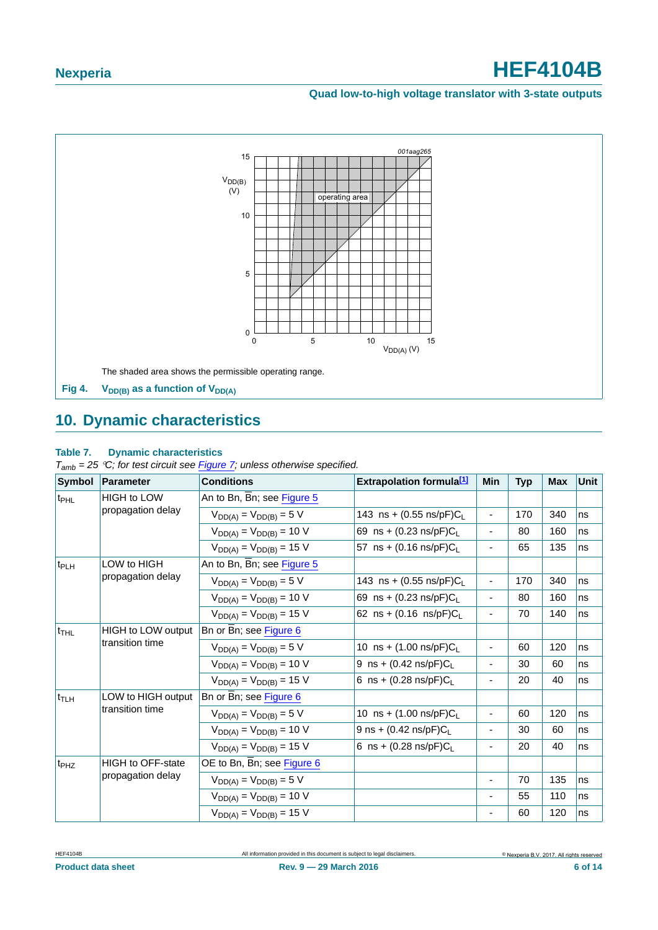### **Quad low-to-high voltage translator with 3-state outputs**



# <span id="page-5-1"></span><span id="page-5-0"></span>**10. Dynamic characteristics**

### **Table 7. Dynamic characteristics**

*Tamb = 25 C; for test circuit see [Figure 7](#page-8-0); unless otherwise specified.*

| <b>Symbol</b>                          | <b>Parameter</b>                             | <b>Conditions</b>              | <b>Extrapolation formula[1]</b>     | <b>Min</b>                   | <b>Typ</b> | <b>Max</b> | <b>Unit</b> |
|----------------------------------------|----------------------------------------------|--------------------------------|-------------------------------------|------------------------------|------------|------------|-------------|
| <b>HIGH to LOW</b><br>t <sub>PHL</sub> |                                              | An to Bn, Bn; see Figure 5     |                                     |                              |            |            |             |
|                                        | propagation delay                            | $V_{DD(A)} = V_{DD(B)} = 5 V$  | 143 ns + $(0.55 \text{ ns/pF})C_L$  | $\overline{\phantom{0}}$     | 170        | 340        | ns          |
|                                        |                                              | $V_{DD(A)} = V_{DD(B)} = 10 V$ | 69 ns + $(0.23 \text{ ns/pF})C_{L}$ | -                            | 80         | 160        | ns          |
|                                        |                                              | $V_{DD(A)} = V_{DD(B)} = 15$ V | 57 ns + $(0.16 \text{ ns/pF})C_L$   | $\overline{\phantom{a}}$     | 65         | 135        | ns          |
| t <sub>PLH</sub>                       | LOW to HIGH                                  | An to Bn, Bn; see Figure 5     |                                     |                              |            |            |             |
|                                        | propagation delay                            | $V_{DD(A)} = V_{DD(B)} = 5 V$  | 143 ns + $(0.55 \text{ ns/pF})C_L$  | $\overline{\phantom{a}}$     | 170        | 340        | ns          |
|                                        |                                              | $V_{DD(A)} = V_{DD(B)} = 10 V$ | 69 ns + $(0.23 \text{ ns/pF})C_L$   | -                            | 80         | 160        | ns          |
|                                        |                                              | $V_{DD(A)} = V_{DD(B)} = 15$ V | 62 ns + $(0.16 \text{ ns/pF})C_L$   | $\frac{1}{2}$                | 70         | 140        | ns          |
| t <sub>THL</sub>                       | <b>HIGH to LOW output</b><br>transition time | Bn or Bn; see Figure 6         |                                     |                              |            |            |             |
|                                        |                                              | $V_{DD(A)} = V_{DD(B)} = 5 V$  | 10 ns + $(1.00 \text{ ns/pF})C_L$   | -                            | 60         | 120        | ns          |
|                                        |                                              | $V_{DD(A)} = V_{DD(B)} = 10 V$ | 9 ns + $(0.42 \text{ ns/pF})C_{L}$  | -                            | 30         | 60         | ns          |
|                                        |                                              | $V_{DD(A)} = V_{DD(B)} = 15$ V | 6 ns + $(0.28 \text{ ns/pF})C_{L}$  | $\overline{\phantom{0}}$     | 20         | 40         | ns          |
| $t_{\text{TLH}}$                       | LOW to HIGH output                           | Bn or Bn; see Figure 6         |                                     |                              |            |            |             |
|                                        | transition time                              | $V_{DD(A)} = V_{DD(B)} = 5 V$  | 10 ns + $(1.00 \text{ ns/pF})C_L$   | $\overline{\phantom{a}}$     | 60         | 120        | ns          |
|                                        |                                              | $V_{DD(A)} = V_{DD(B)} = 10 V$ | 9 ns + $(0.42 \text{ ns/pF})C_{L}$  | $\qquad \qquad \blacksquare$ | 30         | 60         | ns          |
|                                        |                                              | $V_{DD(A)} = V_{DD(B)} = 15$ V | 6 ns + $(0.28 \text{ ns/pF})C_1$    | $\overline{\phantom{a}}$     | 20         | 40         | ns          |
| t <sub>PHZ</sub>                       | <b>HIGH to OFF-state</b>                     | OE to Bn, Bn; see Figure 6     |                                     |                              |            |            |             |
|                                        | propagation delay                            | $V_{DD(A)} = V_{DD(B)} = 5 V$  |                                     | $\overline{\phantom{a}}$     | 70         | 135        | ns          |
|                                        |                                              | $V_{DD(A)} = V_{DD(B)} = 10 V$ |                                     | $\overline{\phantom{0}}$     | 55         | 110        | ns          |
|                                        |                                              | $V_{DD(A)} = V_{DD(B)} = 15$ V |                                     |                              | 60         | 120        | ns          |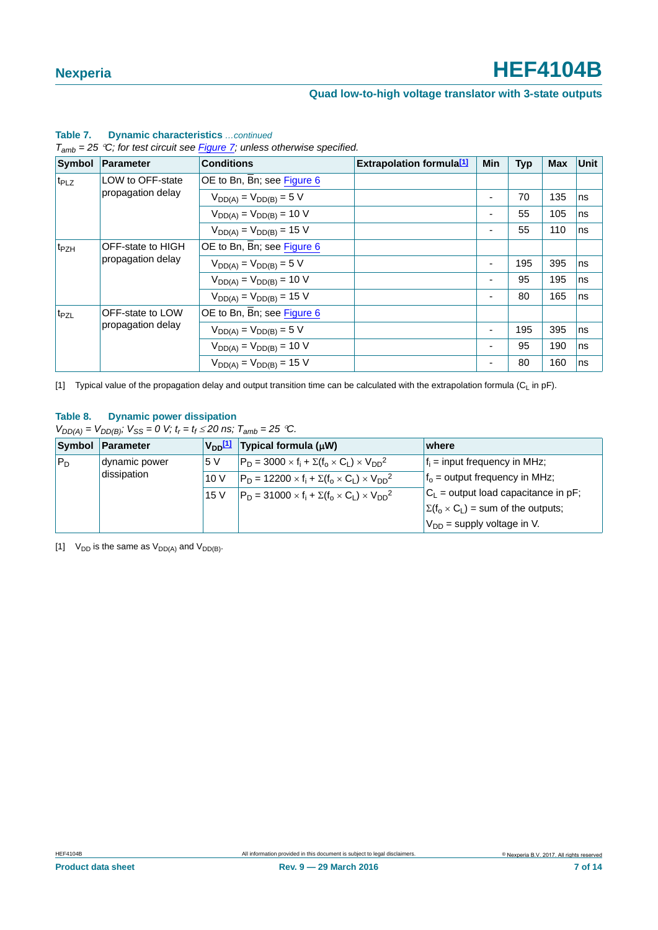### **Quad low-to-high voltage translator with 3-state outputs**

| Symbol           | <b>Parameter</b>  | <b>Conditions</b>              | <b>Extrapolation formula</b> [1] | <b>Min</b> | <b>Typ</b> | <b>Max</b> | <b>Unit</b> |
|------------------|-------------------|--------------------------------|----------------------------------|------------|------------|------------|-------------|
| t <sub>PLZ</sub> | LOW to OFF-state  | OE to Bn, Bn; see Figure 6     |                                  |            |            |            |             |
|                  | propagation delay | $V_{DD(A)} = V_{DD(B)} = 5 V$  |                                  | ٠          | 70         | 135        | ns          |
|                  |                   | $V_{DD(A)} = V_{DD(B)} = 10 V$ |                                  | ٠          | 55         | 105        | ns          |
|                  |                   | $V_{DD(A)} = V_{DD(B)} = 15$ V |                                  | ۰          | 55         | 110        | ns          |
| t <sub>PZH</sub> | OFF-state to HIGH | OE to Bn, Bn; see Figure 6     |                                  |            |            |            |             |
|                  | propagation delay | $V_{DD(A)} = V_{DD(B)} = 5 V$  |                                  | ٠          | 195        | 395        | ns          |
|                  |                   | $V_{DD(A)} = V_{DD(B)} = 10 V$ |                                  | ۰          | 95         | 195        | ns          |
|                  |                   | $V_{DD(A)} = V_{DD(B)} = 15$ V |                                  | ٠          | 80         | 165        | ns          |
| t <sub>PZL</sub> | OFF-state to LOW  | OE to Bn, Bn; see Figure 6     |                                  |            |            |            |             |
|                  | propagation delay | $V_{DD(A)} = V_{DD(B)} = 5 V$  |                                  | ٠          | 195        | 395        | ns          |
|                  |                   | $V_{DD(A)} = V_{DD(B)} = 10 V$ |                                  | ٠          | 95         | 190        | ns          |
|                  |                   | $V_{DD(A)} = V_{DD(B)} = 15$ V |                                  | ۰          | 80         | 160        | ns          |

### **Table 7. Dynamic characteristics** *…continued*

*Tamb = 25 C; for test circuit see Figure 7; unless otherwise specified.*

<span id="page-6-0"></span>[1] Typical value of the propagation delay and output transition time can be calculated with the extrapolation formula ( $C_L$  in pF).

### **Table 8. Dynamic power dissipation**

 $V_{DD(A)} = V_{DD(B)}$ ;  $V_{SS} = 0$  V;  $t_r = t_f \le 20$  ns;  $T_{amb} = 25$  °C.

|             | Symbol Parameter | $V_{DD}$ [1] | Typical formula $(\mu W)$                                          | where                                          |
|-------------|------------------|--------------|--------------------------------------------------------------------|------------------------------------------------|
| $P_D$       | dynamic power    | <b>5V</b>    | $ P_D = 3000 \times f_i + \Sigma(f_0 \times C_1) \times V_{DD}^2 $ | $f_i$ = input frequency in MHz;                |
| dissipation |                  | 10V          | $P_D = 12200 \times f_i + \Sigma(f_0 \times C_1) \times V_{DD}^2$  | $f_0$ = output frequency in MHz;               |
|             |                  | 15 V         | $P_D = 31000 \times f_i + \Sigma(f_0 \times C_1) \times V_{DD}^2$  | $C_L$ = output load capacitance in pF;         |
|             |                  |              |                                                                    | $\Sigma(f_0 \times C_L)$ = sum of the outputs; |
|             |                  |              |                                                                    | $V_{DD}$ = supply voltage in V.                |

<span id="page-6-1"></span>[1]  $V_{DD}$  is the same as  $V_{DD(A)}$  and  $V_{DD(B)}$ .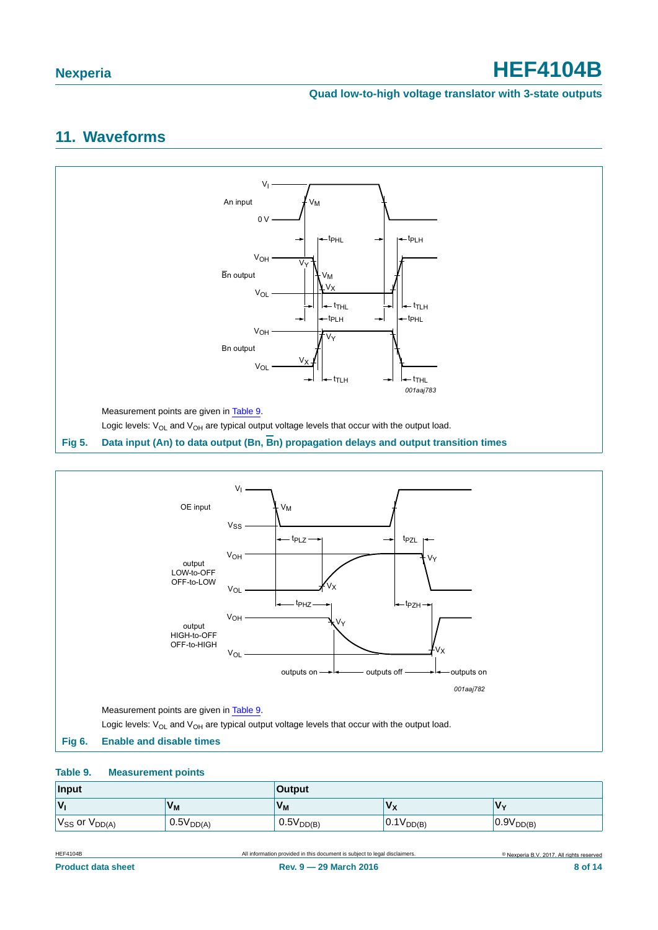### **Quad low-to-high voltage translator with 3-state outputs**

# <span id="page-7-3"></span>**11. Waveforms**



<span id="page-7-0"></span>

#### <span id="page-7-2"></span><span id="page-7-1"></span>**Table 9. Measurement points**

| Input                              |                       | <b>Output</b>  |                               |                |  |
|------------------------------------|-----------------------|----------------|-------------------------------|----------------|--|
| $\mathsf{v}_\mathsf{i}$<br>$V_{M}$ |                       | $V_{M}$        | $\mathbf{v}$<br>$\sim$ $\sim$ | <b>V</b>       |  |
| $V_{SS}$ or $V_{DD(A)}$            | 0.5V <sub>DD(A)</sub> | $0.5V_{DD(B)}$ | $0.1V_{DD(B)}$                | $0.9V_{DD(B)}$ |  |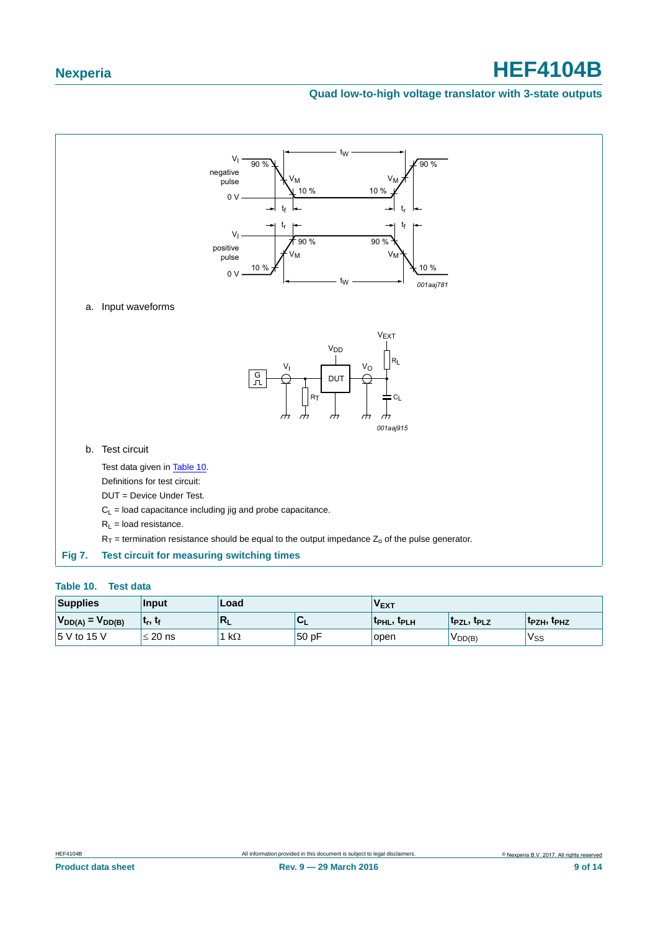### **Quad low-to-high voltage translator with 3-state outputs**



#### <span id="page-8-1"></span><span id="page-8-0"></span>**Table 10. Test data**

| <b>Supplies</b>         | <b>Input</b>                      | Load      |      | $\mathsf{v}_{\mathsf{EXT}}$ |                   |                                      |
|-------------------------|-----------------------------------|-----------|------|-----------------------------|-------------------|--------------------------------------|
| $V_{DD(A)} = V_{DD(B)}$ | ∣ t <sub>r</sub> , t <sub>ք</sub> | $R_L$     | ືີ   | <b>TPHL, TPLH</b>           | <b>IPZL, IPLZ</b> | ' <sup>T</sup> PZH, <sup>T</sup> PHZ |
| 15 V to 15 V            | $20$ ns                           | $k\Omega$ | 50pF | open                        | VDD(B)            | v <sub>SS</sub>                      |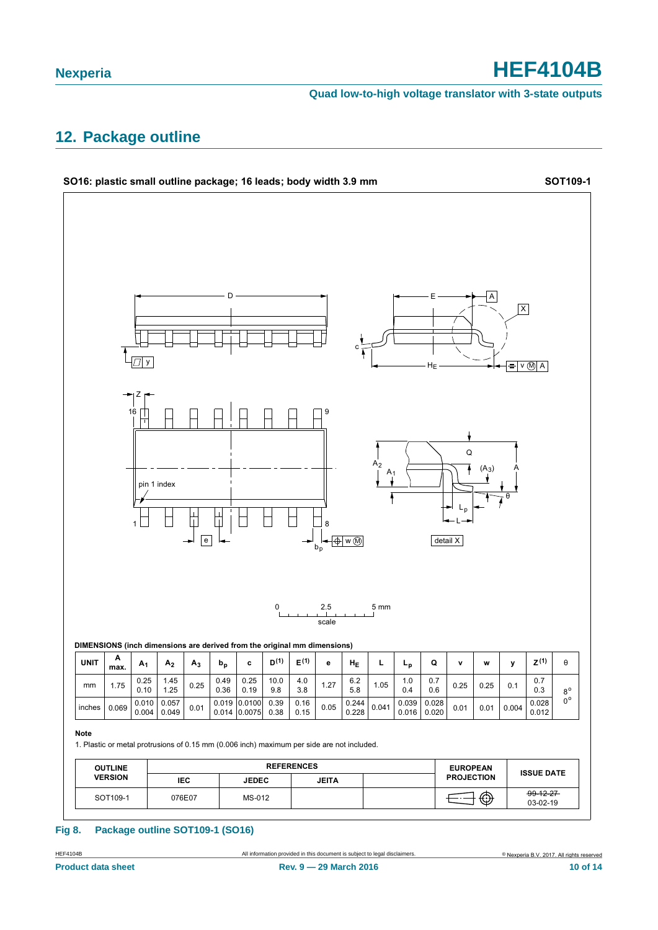**Quad low-to-high voltage translator with 3-state outputs**

## <span id="page-9-0"></span>**12. Package outline**



#### **Fig 8. Package outline SOT109-1 (SO16)**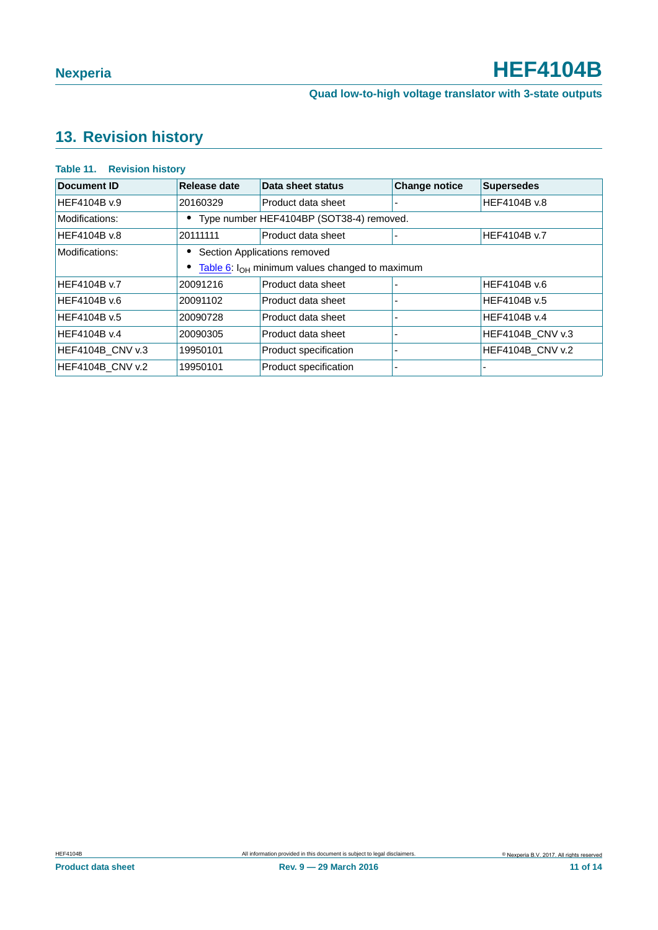# <span id="page-10-0"></span>**13. Revision history**

### **Table 11. Revision history**

| <b>Document ID</b>  | Release date | Data sheet status                                            | <b>Change notice</b> | <b>Supersedes</b>       |
|---------------------|--------------|--------------------------------------------------------------|----------------------|-------------------------|
| HEF4104B v.9        | 20160329     | Product data sheet                                           |                      | HEF4104B v.8            |
| Modifications:      |              | • Type number HEF4104BP (SOT38-4) removed.                   |                      |                         |
| HEF4104B v.8        | 20111111     | Product data sheet                                           |                      | HEF4104B v.7            |
| Modifications:      |              | Section Applications removed                                 |                      |                         |
|                     |              | • Table 6: I <sub>OH</sub> minimum values changed to maximum |                      |                         |
| HEF4104B v.7        | 20091216     | Product data sheet                                           |                      | HEF4104B v.6            |
| HEF4104B v.6        | 20091102     | Product data sheet                                           |                      | HEF4104B v.5            |
| HEF4104B v.5        | 20090728     | Product data sheet                                           |                      | HEF4104B v.4            |
| <b>HEF4104B v.4</b> | 20090305     | Product data sheet                                           |                      | HEF4104B_CNV v.3        |
| HEF4104B_CNV v.3    | 19950101     | Product specification                                        |                      | <b>HEF4104B CNV v.2</b> |
| HEF4104B CNV v.2    | 19950101     | Product specification                                        |                      |                         |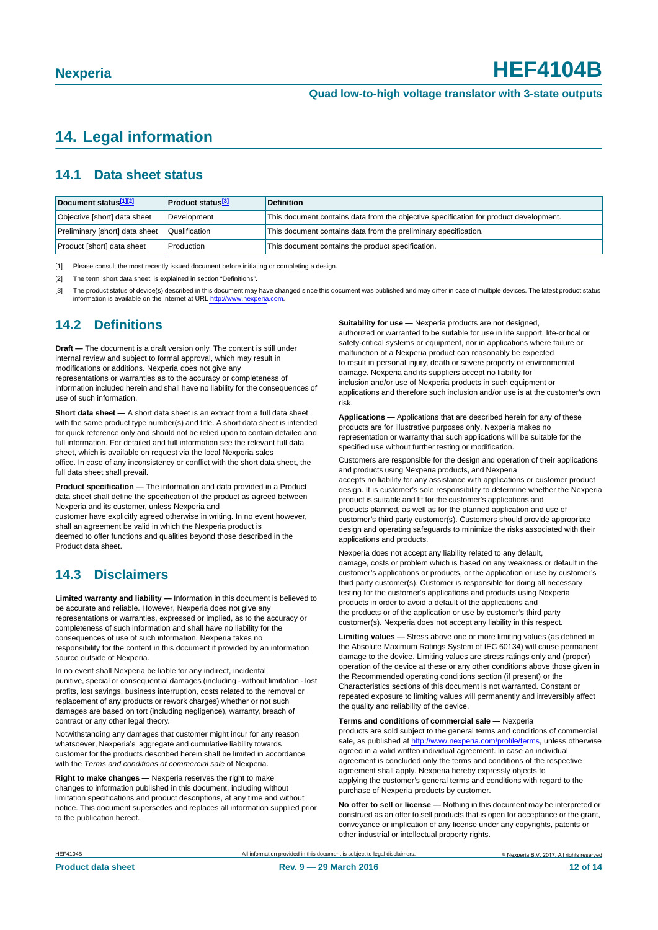# <span id="page-11-3"></span>**14. Legal information**

### <span id="page-11-4"></span>**14.1 Data sheet status**

| Document status[1][2]          | <b>Product status</b> <sup>[3]</sup> | <b>Definition</b>                                                                     |
|--------------------------------|--------------------------------------|---------------------------------------------------------------------------------------|
| Objective [short] data sheet   | Development                          | This document contains data from the objective specification for product development. |
| Preliminary [short] data sheet | Qualification                        | This document contains data from the preliminary specification.                       |
| Product [short] data sheet     | Production                           | This document contains the product specification.                                     |

<span id="page-11-0"></span>[1] Please consult the most recently issued document before initiating or completing a design.

<span id="page-11-1"></span>[2] The term 'short data sheet' is explained in section "Definitions".

<span id="page-11-2"></span>[3] The product status of device(s) described in this document may have changed since this document was published and may differ in case of multiple devices. The latest product status<br>information is available on the Intern

### <span id="page-11-5"></span>**14.2 Definitions**

**Draft —** The document is a draft version only. The content is still under internal review and subject to formal approval, which may result in modifications or additions. Nexperia does not give any

representations or warranties as to the accuracy or completeness of information included herein and shall have no liability for the consequences of use of such information.

**Short data sheet —** A short data sheet is an extract from a full data sheet with the same product type number(s) and title. A short data sheet is intended for quick reference only and should not be relied upon to contain detailed and full information. For detailed and full information see the relevant full data sheet, which is available on request via the local Nexperia sales office. In case of any inconsistency or conflict with the short data sheet, the full data sheet shall prevail.

**Product specification —** The information and data provided in a Product data sheet shall define the specification of the product as agreed between Nexperia and its customer, unless Nexperia and

customer have explicitly agreed otherwise in writing. In no event however, shall an agreement be valid in which the Nexperia product is deemed to offer functions and qualities beyond those described in the Product data sheet.

### <span id="page-11-6"></span>**14.3 Disclaimers**

**Limited warranty and liability —** Information in this document is believed to be accurate and reliable. However, Nexperia does not give any representations or warranties, expressed or implied, as to the accuracy or completeness of such information and shall have no liability for the consequences of use of such information. Nexperia takes no responsibility for the content in this document if provided by an information source outside of Nexperia.

In no event shall Nexperia be liable for any indirect, incidental, punitive, special or consequential damages (including - without limitation - lost profits, lost savings, business interruption, costs related to the removal or replacement of any products or rework charges) whether or not such damages are based on tort (including negligence), warranty, breach of contract or any other legal theory.

Notwithstanding any damages that customer might incur for any reason whatsoever, Nexperia's aggregate and cumulative liability towards customer for the products described herein shall be limited in accordance with the *Terms and conditions of commercial sale* of Nexperia.

**Right to make changes —** Nexperia reserves the right to make changes to information published in this document, including without limitation specifications and product descriptions, at any time and without notice. This document supersedes and replaces all information supplied prior to the publication hereof.

**Suitability for use - Nexperia products are not designed** authorized or warranted to be suitable for use in life support, life-critical or safety-critical systems or equipment, nor in applications where failure or malfunction of a Nexperia product can reasonably be expected to result in personal injury, death or severe property or environmental damage. Nexperia and its suppliers accept no liability for inclusion and/or use of Nexperia products in such equipment or applications and therefore such inclusion and/or use is at the customer's own risk.

**Applications —** Applications that are described herein for any of these products are for illustrative purposes only. Nexperia makes no representation or warranty that such applications will be suitable for the specified use without further testing or modification.

Customers are responsible for the design and operation of their applications and products using Nexperia products, and Nexperia accepts no liability for any assistance with applications or customer product design. It is customer's sole responsibility to determine whether the Nexperia product is suitable and fit for the customer's applications and products planned, as well as for the planned application and use of customer's third party customer(s). Customers should provide appropriate design and operating safeguards to minimize the risks associated with their applications and products.

Nexperia does not accept any liability related to any default, damage, costs or problem which is based on any weakness or default in the customer's applications or products, or the application or use by customer's third party customer(s). Customer is responsible for doing all necessary testing for the customer's applications and products using Nexperia products in order to avoid a default of the applications and the products or of the application or use by customer's third party customer(s). Nexperia does not accept any liability in this respect.

**Limiting values —** Stress above one or more limiting values (as defined in the Absolute Maximum Ratings System of IEC 60134) will cause permanent damage to the device. Limiting values are stress ratings only and (proper) operation of the device at these or any other conditions above those given in the Recommended operating conditions section (if present) or the Characteristics sections of this document is not warranted. Constant or repeated exposure to limiting values will permanently and irreversibly affect the quality and reliability of the device.

**Terms and conditions of commercial sale —** Nexperia

products are sold subject to the general terms and conditions of commercial sale, as published at [http://www.nexperia.com/profile/te](http://www.nexperia.com/profile/terms)rms, unless otherwise agreed in a valid written individual agreement. In case an individual agreement is concluded only the terms and conditions of the respective agreement shall apply. Nexperia hereby expressly objects to applying the customer's general terms and conditions with regard to the purchase of Nexperia products by customer.

**No offer to sell or license —** Nothing in this document may be interpreted or construed as an offer to sell products that is open for acceptance or the grant, conveyance or implication of any license under any copyrights, patents or other industrial or intellectual property rights.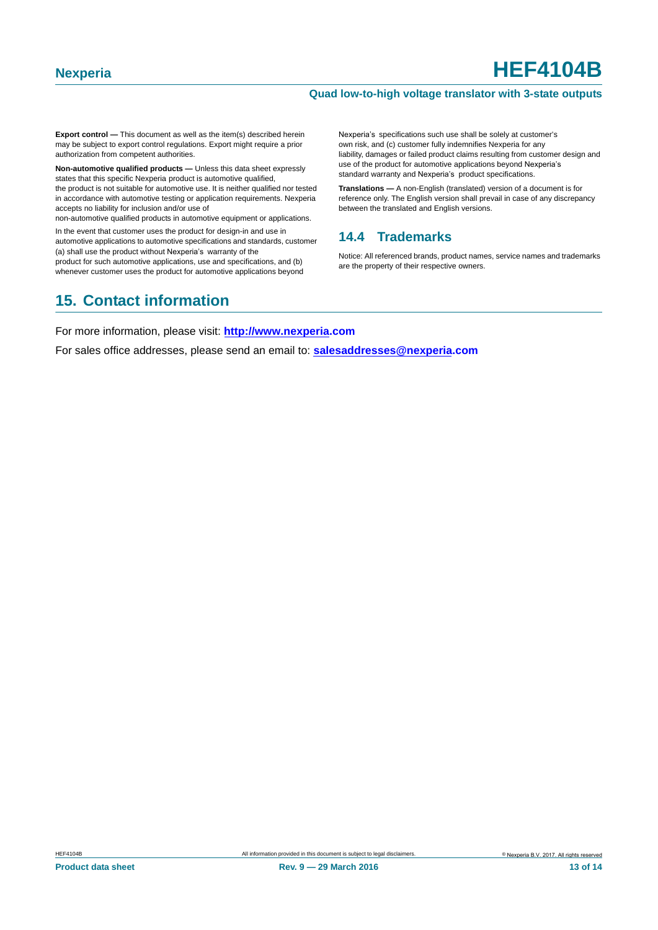#### **Quad low-to-high voltage translator with 3-state outputs**

**Export control —** This document as well as the item(s) described herein may be subject to export control regulations. Export might require a prior authorization from competent authorities.

**Non-automotive qualified products —** Unless this data sheet expressly states that this specific Nexperia product is automotive qualified, the product is not suitable for automotive use. It is neither qualified nor tested in accordance with automotive testing or application requirements. Nexperia accepts no liability for inclusion and/or use of

non-automotive qualified products in automotive equipment or applications.

In the event that customer uses the product for design-in and use in automotive applications to automotive specifications and standards, customer (a) shall use the product without Nexperia's warranty of the

product for such automotive applications, use and specifications, and (b) whenever customer uses the product for automotive applications beyond Nexperia's specifications such use shall be solely at customer's own risk, and (c) customer fully indemnifies Nexperia for any liability, damages or failed product claims resulting from customer design and use of the product for automotive applications beyond Nexperia's standard warranty and Nexperia's product specifications.

**Translations —** A non-English (translated) version of a document is for reference only. The English version shall prevail in case of any discrepancy between the translated and English versions.

### <span id="page-12-0"></span>**14.4 Trademarks**

Notice: All referenced brands, product names, service names and trademarks are the property of their respective owners.

# <span id="page-12-1"></span>**15. Contact information**

For more information, please visit: **http://www.nexperia.com**

For sales office addresses, please send an email to: **salesaddresses@nexperia.com**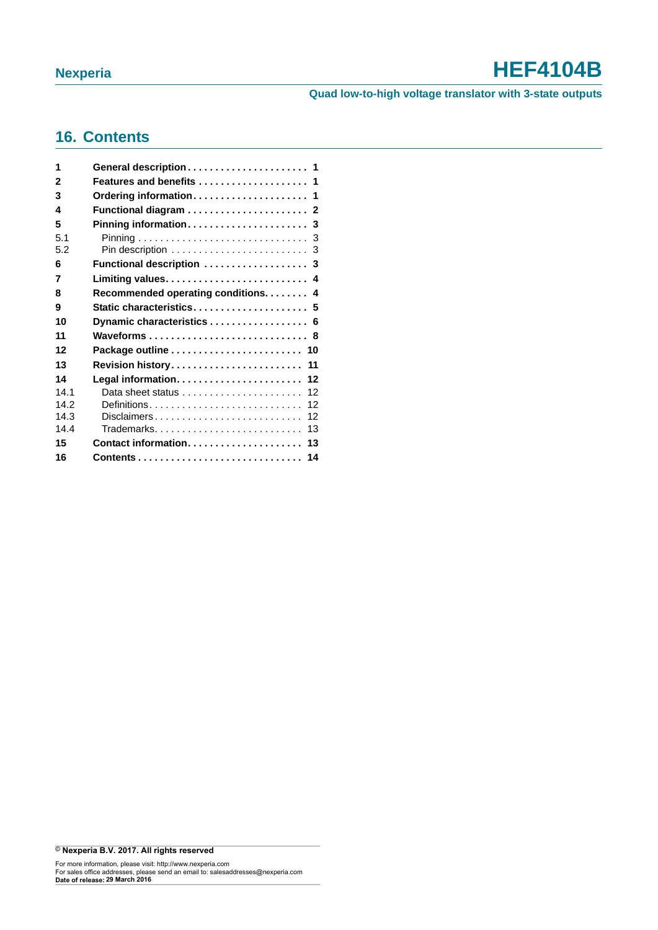### **Quad low-to-high voltage translator with 3-state outputs**

# <span id="page-13-0"></span>**16. Contents**

| 1          |                                                                  |
|------------|------------------------------------------------------------------|
| 2          | Features and benefits  1                                         |
| 3          |                                                                  |
| 4          |                                                                  |
| 5          |                                                                  |
| 5.1<br>5.2 |                                                                  |
| 6          | Functional description  3                                        |
| 7          |                                                                  |
| 8          | Recommended operating conditions. 4                              |
| 9          | Static characteristics 5                                         |
| 10         |                                                                  |
|            | Dynamic characteristics  6                                       |
| 11         | Waveforms 8                                                      |
| 12         |                                                                  |
| 13         | Revision history 11                                              |
| 14         |                                                                  |
| 141        | Data sheet status $\ldots, \ldots, \ldots, \ldots, \ldots$<br>12 |
| 14.2       | 12                                                               |
| 14.3       | Disclaimers<br>12                                                |
| 144        | Trademarks<br>13                                                 |
| 15         | Contact information 13                                           |
| 16         |                                                                  |